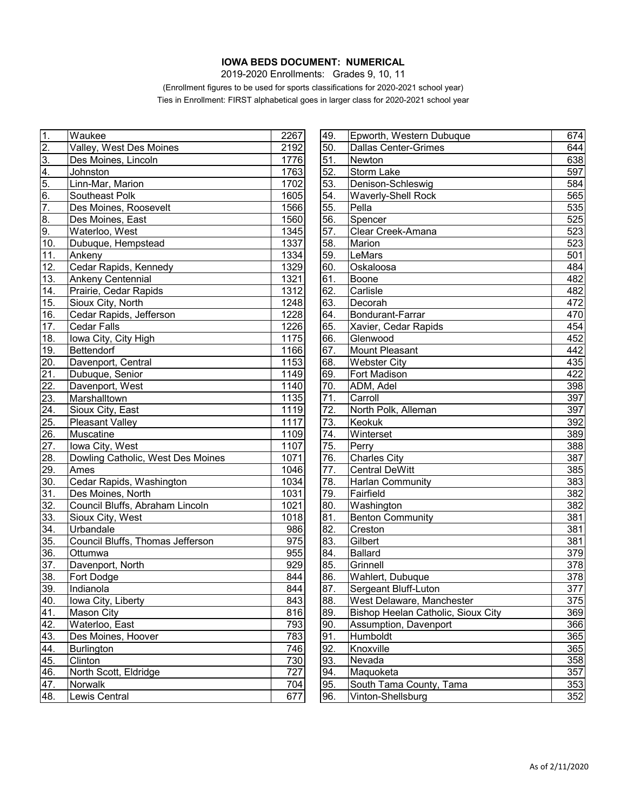## **IOWA BEDS DOCUMENT: NUMERICAL**

2019-2020 Enrollments: Grades 9, 10, 11

(Enrollment figures to be used for sports classifications for 2020-2021 school year) Ties in Enrollment: FIRST alphabetical goes in larger class for 2020-2021 school year

| 1.         | Waukee                            | 2267 | 49. | Epworth, Western Dubuque           | 674 |
|------------|-----------------------------------|------|-----|------------------------------------|-----|
| 2.         | Valley, West Des Moines           | 2192 | 50. | Dallas Center-Grimes               | 644 |
| 3.         | Des Moines, Lincoln               | 1776 | 51. | Newton                             | 638 |
| 4.         | Johnston                          | 1763 | 52. | <b>Storm Lake</b>                  | 597 |
| 5.         | Linn-Mar, Marion                  | 1702 | 53. | Denison-Schleswig                  | 584 |
| 6.         | Southeast Polk                    | 1605 | 54. | <b>Waverly-Shell Rock</b>          | 565 |
| 7.         | Des Moines, Roosevelt             | 1566 | 55. | Pella                              | 535 |
| 8.         | Des Moines, East                  | 1560 | 56. | Spencer                            | 525 |
| 9.         | Waterloo, West                    | 1345 | 57. | Clear Creek-Amana                  | 523 |
| 10.        | Dubuque, Hempstead                | 1337 | 58. | Marion                             | 523 |
| 11.        | Ankeny                            | 1334 | 59. | LeMars                             | 501 |
| 12.        | Cedar Rapids, Kennedy             | 1329 | 60. | Oskaloosa                          | 484 |
| 13.        | <b>Ankeny Centennial</b>          | 1321 | 61. | Boone                              | 482 |
| 14.        | Prairie, Cedar Rapids             | 1312 | 62. | Carlisle                           | 482 |
| 15.        | Sioux City, North                 | 1248 | 63. | Decorah                            | 472 |
| 16.        | Cedar Rapids, Jefferson           | 1228 | 64. | <b>Bondurant-Farrar</b>            | 470 |
| 17.        | <b>Cedar Falls</b>                | 1226 | 65. | Xavier, Cedar Rapids               | 454 |
| 18.        | Iowa City, City High              | 1175 | 66. | Glenwood                           | 452 |
| 19.        | Bettendorf                        | 1166 | 67. | <b>Mount Pleasant</b>              | 442 |
| 20.        | Davenport, Central                | 1153 | 68. | <b>Webster City</b>                | 435 |
| 21.        | Dubuque, Senior                   | 1149 | 69. | Fort Madison                       | 422 |
| 22.        | Davenport, West                   | 1140 | 70. | ADM, Adel                          | 398 |
| 23.        | Marshalltown                      | 1135 | 71. | Carroll                            | 397 |
| 24.        | Sioux City, East                  | 1119 | 72. | North Polk, Alleman                | 397 |
| 25.        | <b>Pleasant Valley</b>            | 1117 | 73. | <b>Keokuk</b>                      | 392 |
| 26.        | Muscatine                         | 1109 | 74. | Winterset                          | 389 |
| 27.        | Iowa City, West                   | 1107 | 75. | Perry                              | 388 |
| 28.        | Dowling Catholic, West Des Moines | 1071 | 76. | <b>Charles City</b>                | 387 |
| 29.        | Ames                              | 1046 | 77. | <b>Central DeWitt</b>              | 385 |
| 30.        | Cedar Rapids, Washington          | 1034 | 78. | <b>Harlan Community</b>            | 383 |
| 31.        | Des Moines, North                 | 1031 | 79. | Fairfield                          | 382 |
| 32.        | Council Bluffs, Abraham Lincoln   | 1021 | 80. | Washington                         | 382 |
| 33.        | Sioux City, West                  | 1018 | 81. | <b>Benton Community</b>            | 381 |
| 34.        | Urbandale                         | 986  | 82. | Creston                            | 381 |
| 35.        | Council Bluffs, Thomas Jefferson  | 975  | 83. | Gilbert                            | 381 |
| 36.        | Ottumwa                           | 955  | 84. | Ballard                            | 379 |
| 37.        | Davenport, North                  | 929  | 85. | Grinnell                           | 378 |
| 38.        | Fort Dodge                        | 844  | 86. | Wahlert, Dubuque                   | 378 |
| <u>39.</u> | Indianola                         | 844  | 87. | Sergeant Bluff-Luton               | 377 |
| 40.        | Iowa City, Liberty                | 843  | 88. | West Delaware, Manchester          | 375 |
| 41.        | <b>Mason City</b>                 | 816  | 89. | Bishop Heelan Catholic, Sioux City | 369 |
| 42.        | Waterloo, East                    | 793  | 90. | Assumption, Davenport              | 366 |
| 43.        | Des Moines, Hoover                | 783  | 91. | Humboldt                           | 365 |
| 44.        | <b>Burlington</b>                 | 746  | 92. | Knoxville                          | 365 |
| 45.        | Clinton                           | 730  | 93. | Nevada                             | 358 |
| 46.        | North Scott, Eldridge             | 727  | 94. | Maquoketa                          | 357 |
| 47.        | Norwalk                           | 704  | 95. | South Tama County, Tama            | 353 |
| 48.        | Lewis Central                     | 677  | 96. | Vinton-Shellsburg                  | 352 |

| 49. | Epworth, Western Dubuque           | 674 |
|-----|------------------------------------|-----|
| 50. | <b>Dallas Center-Grimes</b>        | 644 |
| 51. | Newton                             | 638 |
| 52. | <b>Storm Lake</b>                  | 597 |
| 53. | Denison-Schleswig                  | 584 |
| 54. | <b>Waverly-Shell Rock</b>          | 565 |
| 55. | Pella                              | 535 |
| 56. | Spencer                            | 525 |
| 57. | Clear Creek-Amana                  | 523 |
| 58. | Marion                             | 523 |
| 59. | LeMars                             | 501 |
| 60. | Oskaloosa                          | 484 |
| 61. | Boone                              | 482 |
| 62. | Carlisle                           | 482 |
| 63. | Decorah                            | 472 |
| 64. | Bondurant-Farrar                   | 470 |
| 65. | Xavier, Cedar Rapids               | 454 |
| 66. | Glenwood                           | 452 |
| 67. | <b>Mount Pleasant</b>              | 442 |
| 68. | <b>Webster City</b>                | 435 |
| 69. | Fort Madison                       | 422 |
| 70. | ADM, Adel                          | 398 |
| 71. | Carroll                            | 397 |
| 72. | North Polk, Alleman                | 397 |
| 73. | Keokuk                             | 392 |
| 74. | Winterset                          | 389 |
| 75. | Perry                              | 388 |
| 76. | <b>Charles City</b>                | 387 |
| 77. | <b>Central DeWitt</b>              | 385 |
| 78. | <b>Harlan Community</b>            | 383 |
| 79. | Fairfield                          | 382 |
| 80. | Washington                         | 382 |
| 81. | <b>Benton Community</b>            | 381 |
| 82. | Creston                            | 381 |
| 83. | Gilbert                            | 381 |
| 84. | <b>Ballard</b>                     | 379 |
| 85. | Grinnell                           | 378 |
| 86. | Wahlert, Dubuque                   | 378 |
| 87. | Sergeant Bluff-Luton               | 377 |
| 88. | West Delaware, Manchester          | 375 |
| 89. | Bishop Heelan Catholic, Sioux City | 369 |
| 90. | <b>Assumption, Davenport</b>       | 366 |
| 91. | Humboldt                           | 365 |
| 92. | Knoxville                          | 365 |
| 93. | Nevada                             | 358 |
| 94. | Maquoketa                          | 357 |
| 95. | South Tama County, Tama            | 353 |
| 96. | Vinton-Shellsburg                  | 352 |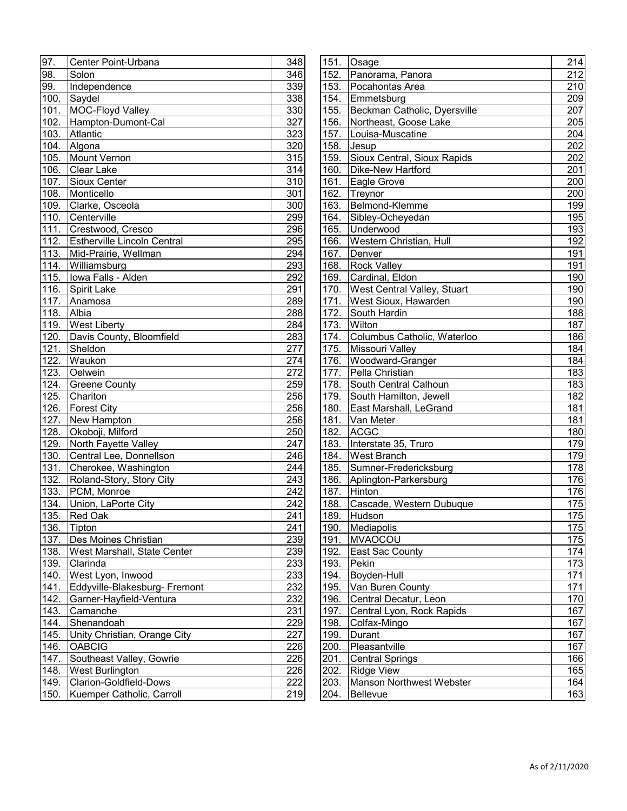| 97.  | Center Point-Urbana                | 348              |
|------|------------------------------------|------------------|
| 98.  | Solon                              | 346              |
| 99.  | Independence                       | 339              |
| 100. | Saydel                             | 338              |
| 101. | MOC-Floyd Valley                   | 330              |
| 102. | Hampton-Dumont-Cal                 | 327              |
| 103. | Atlantic                           | 323              |
| 104. | Algona                             | 320              |
| 105. | Mount Vernon                       | 315              |
| 106. | Clear Lake                         | 314              |
| 107. | Sioux Center                       | 310              |
| 108. | Monticello                         | 301              |
| 109. | Clarke, Osceola                    | 300              |
| 110. | Centerville                        | 299              |
| 111. | Crestwood, Cresco                  | 296              |
| 112. | <b>Estherville Lincoln Central</b> | 295              |
| 113. | Mid-Prairie, Wellman               | 294              |
| 114. | Williamsburg                       | 293              |
| 115. | Iowa Falls - Alden                 | 292              |
| 116. | Spirit Lake                        | 291              |
| 117. | Anamosa                            | 289              |
| 118. | Albia                              | 288              |
| 119. | <b>West Liberty</b>                | 284              |
| 120. | Davis County, Bloomfield           | 283              |
| 121. | Sheldon                            | 277              |
| 122. | Waukon                             | 274              |
| 123. | Oelwein                            | 272              |
| 124. | <b>Greene County</b>               | 259              |
| 125. | Chariton                           | 256              |
| 126. | <b>Forest City</b>                 | 256              |
| 127. | New Hampton                        | 256              |
| 128. | Okoboji, Milford                   | 250              |
| 129. | North Fayette Valley               | 247              |
| 130. | Central Lee, Donnellson            | 246              |
| 131. | Cherokee, Washington               | $\overline{2}44$ |
| 132. | Roland-Story, Story City           | 243              |
| 133. | PCM, Monroe                        | $\frac{1}{242}$  |
| 134. | Union, LaPorte City                | $\overline{242}$ |
| 135. | Red Oak                            | 241              |
| 136. | Tipton                             | 241              |
| 137. | Des Moines Christian               | 239              |
| 138. | West Marshall, State Center        | 239              |
| 139. | Clarinda                           | 233              |
| 140. | West Lyon, Inwood                  | 233              |
| 141. | Eddyville-Blakesburg- Fremont      | 232              |
| 142. | Garner-Hayfield-Ventura            | 232              |
| 143. | Camanche                           | 231              |
| 144. | Shenandoah                         | 229              |
| 145. | Unity Christian, Orange City       | 227              |
| 146. | <b>OABCIG</b>                      | 226              |
| 147. | Southeast Valley, Gowrie           | 226              |
| 148. | West Burlington                    | 226              |
| 149. | Clarion-Goldfield-Dows             | 222              |
| 150. | Kuemper Catholic, Carroll          | 219              |
|      |                                    |                  |

| 97.  | Center Point-Urbana                | 348 |      | 151. Osage                         | 214 |
|------|------------------------------------|-----|------|------------------------------------|-----|
| 98.  | Solon                              | 346 | 152. | Panorama, Panora                   | 212 |
| 99.  | Independence                       | 339 | 153. | Pocahontas Area                    | 210 |
| 100. | Saydel                             | 338 | 154. | Emmetsburg                         | 209 |
| 101. | MOC-Floyd Valley                   | 330 | 155. | Beckman Catholic, Dyersville       | 207 |
| 102. | Hampton-Dumont-Cal                 | 327 | 156. | Northeast, Goose Lake              | 205 |
| 103. | Atlantic                           | 323 | 157. | Louisa-Muscatine                   | 204 |
|      | 104. Algona                        | 320 | 158. | Jesup                              | 202 |
| 105. | Mount Vernon                       | 315 | 159. | Sioux Central, Sioux Rapids        | 202 |
|      | 106. Clear Lake                    | 314 | 160. | Dike-New Hartford                  | 201 |
|      | 107. Sioux Center                  | 310 | 161. | Eagle Grove                        | 200 |
| 108. | Monticello                         | 301 | 162. | Treynor                            | 200 |
| 109. | Clarke, Osceola                    | 300 | 163. | Belmond-Klemme                     | 199 |
| 110. | Centerville                        | 299 |      | 164. Sibley-Ocheyedan              | 195 |
| 111. | Crestwood, Cresco                  | 296 | 165. | Underwood                          | 193 |
| 112. | <b>Estherville Lincoln Central</b> | 295 | 166. | Western Christian, Hull            | 192 |
|      | 113. Mid-Prairie, Wellman          | 294 | 167. | Denver                             | 191 |
|      | 114. Williamsburg                  | 293 | 168. | <b>Rock Valley</b>                 | 191 |
| 115. | Iowa Falls - Alden                 | 292 | 169. | Cardinal, Eldon                    | 190 |
| 116. | Spirit Lake                        | 291 | 170. | <b>West Central Valley, Stuart</b> | 190 |
| 117. | Anamosa                            | 289 | 171. | West Sioux, Hawarden               | 190 |
| 118. | Albia                              | 288 | 172. | South Hardin                       | 188 |
| 119. | <b>West Liberty</b>                | 284 | 173. | Wilton                             | 187 |
| 120. | Davis County, Bloomfield           | 283 | 174. | Columbus Catholic, Waterloo        | 186 |
|      | 121. Sheldon                       | 277 | 175. | Missouri Valley                    | 184 |
| 122. | Waukon                             | 274 | 176. | Woodward-Granger                   | 184 |
| 123. | Oelwein                            | 272 | 177. | Pella Christian                    | 183 |
| 124. | <b>Greene County</b>               | 259 | 178. | South Central Calhoun              | 183 |
| 125. | Chariton                           | 256 | 179. | South Hamilton, Jewell             | 182 |
| 126. | <b>Forest City</b>                 | 256 | 180. | East Marshall, LeGrand             | 181 |
| 127. | New Hampton                        | 256 | 181. | Van Meter                          | 181 |
| 128. | Okoboji, Milford                   | 250 | 182. | ACGC                               | 180 |
| 129. | North Fayette Valley               | 247 | 183. | Interstate 35, Truro               | 179 |
|      | 130. Central Lee, Donnellson       | 246 | 184. | <b>West Branch</b>                 | 179 |
|      | 131. Cherokee, Washington          | 244 | 185. | Sumner-Fredericksburg              | 178 |
|      | 132. Roland-Story, Story City      | 243 | 186. | Aplington-Parkersburg              | 176 |
| 133. | PCM, Monroe                        | 242 | 187. | Hinton                             | 176 |
| 134. | Union, LaPorte City                | 242 | 188. | Cascade, Western Dubuque           | 175 |
|      | 135. Red Oak                       | 241 |      | 189. Hudson                        | 175 |
| 136. | Tipton                             | 241 | 190. | Mediapolis                         | 175 |
| 137. | Des Moines Christian               | 239 | 191. | MVAOCOU                            | 175 |
| 138. | West Marshall, State Center        | 239 | 192. | East Sac County                    | 174 |
| 139. | Clarinda                           | 233 | 193. | Pekin                              | 173 |
| 140. | West Lyon, Inwood                  | 233 | 194. | Boyden-Hull                        | 171 |
| 141. | Eddyville-Blakesburg- Fremont      | 232 | 195. | Van Buren County                   | 171 |
| 142. | Garner-Hayfield-Ventura            | 232 | 196. | Central Decatur, Leon              | 170 |
| 143. | Camanche                           | 231 |      | 197. Central Lyon, Rock Rapids     | 167 |
| 144. | Shenandoah                         | 229 | 198. | Colfax-Mingo                       | 167 |
| 145. | Unity Christian, Orange City       | 227 | 199. | Durant                             | 167 |
| 146. | <b>OABCIG</b>                      | 226 | 200. | Pleasantville                      | 167 |
| 147. | Southeast Valley, Gowrie           | 226 | 201. | Central Springs                    | 166 |
| 148. | <b>West Burlington</b>             | 226 | 202. | <b>Ridge View</b>                  | 165 |
| 149. | Clarion-Goldfield-Dows             | 222 | 203. | Manson Northwest Webster           | 164 |
| 150. | Kuemper Catholic, Carroll          | 219 | 204. | Bellevue                           | 163 |
|      |                                    |     |      |                                    |     |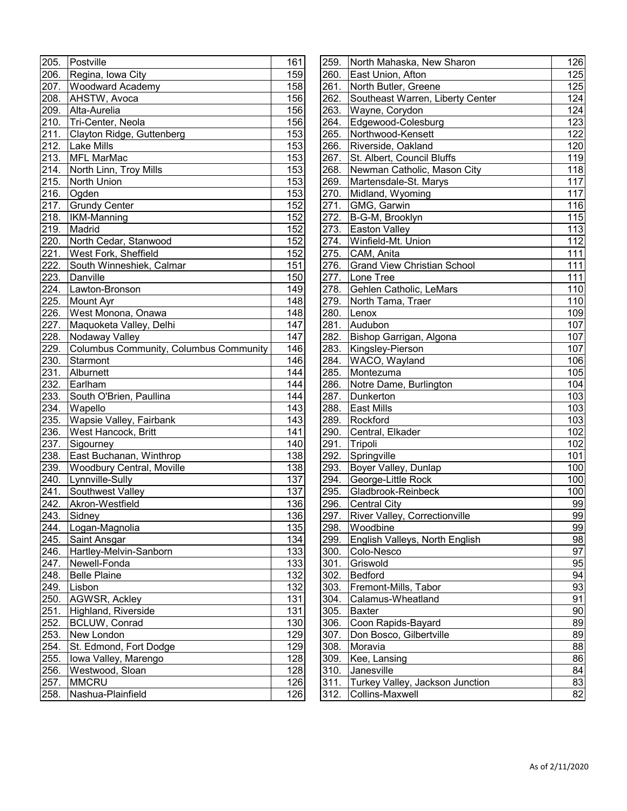| 205.               | Postville                              | 161              |
|--------------------|----------------------------------------|------------------|
| 206.               | Regina, Iowa City                      | 159              |
| 207.               | <b>Woodward Academy</b>                | 158              |
| $\overline{208}$ . | AHSTW, Avoca                           | 156              |
| 209.               | Alta-Aurelia                           | 156              |
| 210.               | Tri-Center, Neola                      | 156              |
| 211.               | Clayton Ridge, Guttenberg              | 153              |
| 212.               | <b>Lake Mills</b>                      | 153              |
| 213.               | <b>MFL MarMac</b>                      | 153              |
| 214.               | North Linn, Troy Mills                 | 153              |
| 215.               | North Union                            | 153              |
| 216.               | Ogden                                  | 153              |
| 217.               | Grundy Center                          | 152              |
| 218.               | <b>IKM-Manning</b>                     | 152              |
| 219.               | Madrid                                 | 152              |
| 220.               | North Cedar, Stanwood                  | $\overline{1}52$ |
| 221.               | West Fork, Sheffield                   | 152              |
| 222.               | South Winneshiek, Calmar               | 151              |
| 223.               | Danville                               | 150              |
| 224.               | Lawton-Bronson                         | 149              |
| 225.               | Mount Ayr                              | 148              |
| 226.               | West Monona, Onawa                     | 148              |
| 227.               | Maquoketa Valley, Delhi                | 147              |
| 228.               | Nodaway Valley                         | 147              |
| 229.               | Columbus Community, Columbus Community | 146              |
| 230.               | Starmont                               | 146              |
| 231.               | Alburnett                              | 144              |
| 232.               | Earlham                                | 144              |
| 233.               | South O'Brien, Paullina                | 144              |
| 234.               | Wapello                                | 143              |
| 235.               | Wapsie Valley, Fairbank                | 143              |
| 236.               | West Hancock, Britt                    | 141              |
| 237.               | Sigourney                              | 140              |
| 238.               | East Buchanan, Winthrop                | 138              |
| 239.               | Woodbury Central, Moville              | 138              |
| 240.               | Lynnville-Sully                        | 137              |
| $\overline{241}$ . | Southwest Valley                       | 137              |
| 242.               | Akron-Westfield                        | 136              |
| 243.               | Sidney                                 | 136              |
| 244.               | Logan-Magnolia                         | 135              |
| 245.               | Saint Ansgar                           | 134              |
| 246.               | Hartley-Melvin-Sanborn                 | 133              |
| 247.               | Newell-Fonda                           | 133              |
| 248.               | <b>Belle Plaine</b>                    | 132              |
| 249.               | Lisbon                                 | 132              |
| 250.               | AGWSR, Ackley                          | 131              |
| 251.               | Highland, Riverside                    | 131              |
| 252.               | <b>BCLUW, Conrad</b>                   | 130              |
| 253.               | New London                             | 129              |
| 254.               | St. Edmond, Fort Dodge                 | 129              |
| 255.               | Iowa Valley, Marengo                   | 128              |
| 256.               | Westwood, Sloan                        | 128              |
| 257.               | <b>MMCRU</b>                           | 126              |
| 258.               | Nashua-Plainfield                      | 126              |
|                    |                                        |                  |

| 206.<br>Regina, Iowa City<br>159<br>260.<br>East Union, Afton<br>North Butler, Greene<br><b>Woodward Academy</b><br>158<br>261.<br>207.<br>Southeast Warren, Liberty Center<br>AHSTW, Avoca<br>156<br>262.<br>208.<br>Alta-Aurelia<br>156<br>Wayne, Corydon<br>263.<br>209.<br>Tri-Center, Neola<br>210.<br>156<br>264.<br>Edgewood-Colesburg<br>Northwood-Kensett<br>Clayton Ridge, Guttenberg<br>265.<br><u> 211. </u><br>153<br><b>Lake Mills</b><br>Riverside, Oakland<br><u> 212. </u><br>153<br>266.<br>MFL MarMac<br>St. Albert, Council Bluffs<br>213.<br>267.<br>153<br>North Linn, Troy Mills<br>Newman Catholic, Mason City<br>214.<br>153<br>268.<br>Martensdale-St. Marys<br>215.<br>North Union<br>269.<br>153<br>216.<br>Ogden<br>Midland, Wyoming<br>153<br>270.<br><b>Grundy Center</b><br>GMG, Garwin<br>217.<br>152<br>271.<br>218.<br><b>IKM-Manning</b><br>152<br>B-G-M, Brooklyn<br>272.<br>219.<br>Madrid<br>152<br>273.<br><b>Easton Valley</b><br>220.<br>Winfield-Mt. Union<br>North Cedar, Stanwood<br>152<br>274.<br>West Fork, Sheffield<br>CAM, Anita<br>221.<br>152<br>275.<br>222.<br>South Winneshiek, Calmar<br>151<br><b>Grand View Christian School</b><br>276.<br>223.<br>Danville<br>150<br>277.<br>Lone Tree<br>Gehlen Catholic, LeMars<br>224.<br>Lawton-Bronson<br>149<br>278.<br>225.<br>279.<br>North Tama, Traer<br><b>Mount Ayr</b><br>148<br>West Monona, Onawa<br>148<br>226.<br>280.<br>Lenox<br>Maquoketa Valley, Delhi<br>Audubon<br>227.<br>147<br>281.<br>Bishop Garrigan, Algona<br>Nodaway Valley<br>147<br>282.<br>228.<br>Columbus Community, Columbus Community<br>Kingsley-Pierson<br>229.<br>146<br>283.<br>WACO, Wayland<br>230.<br>Starmont<br>284.<br>146<br>Alburnett<br>231.<br>144<br>285.<br>Montezuma<br>Earlham<br>Notre Dame, Burlington<br><u>232.</u><br>286.<br>144<br>233.<br>South O'Brien, Paullina<br>287.<br>Dunkerton<br>144<br>234.<br>Wapello<br><b>East Mills</b><br>143<br>288.<br>Wapsie Valley, Fairbank<br>235.<br>143<br>Rockford<br>289.<br>236.<br>West Hancock, Britt<br>141<br>290.<br>Central, Elkader<br>237.<br>Tripoli<br>140<br>291.<br>Sigourney<br>East Buchanan, Winthrop<br>Springville<br>238.<br>138<br>292.<br>Woodbury Central, Moville<br>Boyer Valley, Dunlap<br>239.<br>138<br>293.<br>Lynnville-Sully<br>137<br>294. George-Little Rock<br>240.<br>Southwest Valley<br>Gladbrook-Reinbeck<br>241.<br>137<br>295.<br>Akron-Westfield<br>136<br><b>Central City</b><br>242.<br>296.<br>136<br>297. River Valley, Correctionville<br>243. Sidney<br>244. Logan-Magnolia<br>135<br>298. Woodbine<br>English Valleys, North English<br>245.<br>Saint Ansgar<br>134<br>299.<br>246. Hartley-Melvin-Sanborn<br>133<br>300.<br>Colo-Nesco<br>Griswold<br><u>247.</u><br>Newell-Fonda<br>133<br>301.<br><u>248.</u><br><b>Belle Plaine</b><br>302. Bedford<br>132<br><u>249.</u><br>303. Fremont-Mills, Tabor<br>Lisbon<br>132<br><u>250.</u><br>AGWSR, Ackley<br>131<br>304. Calamus-Wheatland<br><u> 251. </u><br>Highland, Riverside<br>131<br>305. Baxter<br><u>252.</u><br>Coon Rapids-Bayard<br><b>BCLUW, Conrad</b><br>130<br>306.<br>253.<br>New London<br>129<br>Don Bosco, Gilbertville<br>307.<br>254.<br>St. Edmond, Fort Dodge<br>129<br>308.<br>Moravia<br>255.<br>Iowa Valley, Marengo<br>128<br>309.<br>Kee, Lansing<br>256.<br>Westwood, Sloan<br>128<br>Janesville<br>310.<br><b>MMCRU</b> | 205. | Postville | 161 | 259. | North Mahaska, New Sharon       | 126 |
|----------------------------------------------------------------------------------------------------------------------------------------------------------------------------------------------------------------------------------------------------------------------------------------------------------------------------------------------------------------------------------------------------------------------------------------------------------------------------------------------------------------------------------------------------------------------------------------------------------------------------------------------------------------------------------------------------------------------------------------------------------------------------------------------------------------------------------------------------------------------------------------------------------------------------------------------------------------------------------------------------------------------------------------------------------------------------------------------------------------------------------------------------------------------------------------------------------------------------------------------------------------------------------------------------------------------------------------------------------------------------------------------------------------------------------------------------------------------------------------------------------------------------------------------------------------------------------------------------------------------------------------------------------------------------------------------------------------------------------------------------------------------------------------------------------------------------------------------------------------------------------------------------------------------------------------------------------------------------------------------------------------------------------------------------------------------------------------------------------------------------------------------------------------------------------------------------------------------------------------------------------------------------------------------------------------------------------------------------------------------------------------------------------------------------------------------------------------------------------------------------------------------------------------------------------------------------------------------------------------------------------------------------------------------------------------------------------------------------------------------------------------------------------------------------------------------------------------------------------------------------------------------------------------------------------------------------------------------------------------------------------------------------------------------------------------------------------------------------------------------------------------------------------------------------------------------------------------------------------------------------------------------------------------------------------------------------------------------------------------------------------------------------------------|------|-----------|-----|------|---------------------------------|-----|
|                                                                                                                                                                                                                                                                                                                                                                                                                                                                                                                                                                                                                                                                                                                                                                                                                                                                                                                                                                                                                                                                                                                                                                                                                                                                                                                                                                                                                                                                                                                                                                                                                                                                                                                                                                                                                                                                                                                                                                                                                                                                                                                                                                                                                                                                                                                                                                                                                                                                                                                                                                                                                                                                                                                                                                                                                                                                                                                                                                                                                                                                                                                                                                                                                                                                                                                                                                                                                |      |           |     |      |                                 | 125 |
|                                                                                                                                                                                                                                                                                                                                                                                                                                                                                                                                                                                                                                                                                                                                                                                                                                                                                                                                                                                                                                                                                                                                                                                                                                                                                                                                                                                                                                                                                                                                                                                                                                                                                                                                                                                                                                                                                                                                                                                                                                                                                                                                                                                                                                                                                                                                                                                                                                                                                                                                                                                                                                                                                                                                                                                                                                                                                                                                                                                                                                                                                                                                                                                                                                                                                                                                                                                                                |      |           |     |      |                                 | 125 |
|                                                                                                                                                                                                                                                                                                                                                                                                                                                                                                                                                                                                                                                                                                                                                                                                                                                                                                                                                                                                                                                                                                                                                                                                                                                                                                                                                                                                                                                                                                                                                                                                                                                                                                                                                                                                                                                                                                                                                                                                                                                                                                                                                                                                                                                                                                                                                                                                                                                                                                                                                                                                                                                                                                                                                                                                                                                                                                                                                                                                                                                                                                                                                                                                                                                                                                                                                                                                                |      |           |     |      |                                 | 124 |
|                                                                                                                                                                                                                                                                                                                                                                                                                                                                                                                                                                                                                                                                                                                                                                                                                                                                                                                                                                                                                                                                                                                                                                                                                                                                                                                                                                                                                                                                                                                                                                                                                                                                                                                                                                                                                                                                                                                                                                                                                                                                                                                                                                                                                                                                                                                                                                                                                                                                                                                                                                                                                                                                                                                                                                                                                                                                                                                                                                                                                                                                                                                                                                                                                                                                                                                                                                                                                |      |           |     |      |                                 | 124 |
|                                                                                                                                                                                                                                                                                                                                                                                                                                                                                                                                                                                                                                                                                                                                                                                                                                                                                                                                                                                                                                                                                                                                                                                                                                                                                                                                                                                                                                                                                                                                                                                                                                                                                                                                                                                                                                                                                                                                                                                                                                                                                                                                                                                                                                                                                                                                                                                                                                                                                                                                                                                                                                                                                                                                                                                                                                                                                                                                                                                                                                                                                                                                                                                                                                                                                                                                                                                                                |      |           |     |      |                                 | 123 |
|                                                                                                                                                                                                                                                                                                                                                                                                                                                                                                                                                                                                                                                                                                                                                                                                                                                                                                                                                                                                                                                                                                                                                                                                                                                                                                                                                                                                                                                                                                                                                                                                                                                                                                                                                                                                                                                                                                                                                                                                                                                                                                                                                                                                                                                                                                                                                                                                                                                                                                                                                                                                                                                                                                                                                                                                                                                                                                                                                                                                                                                                                                                                                                                                                                                                                                                                                                                                                |      |           |     |      |                                 | 122 |
|                                                                                                                                                                                                                                                                                                                                                                                                                                                                                                                                                                                                                                                                                                                                                                                                                                                                                                                                                                                                                                                                                                                                                                                                                                                                                                                                                                                                                                                                                                                                                                                                                                                                                                                                                                                                                                                                                                                                                                                                                                                                                                                                                                                                                                                                                                                                                                                                                                                                                                                                                                                                                                                                                                                                                                                                                                                                                                                                                                                                                                                                                                                                                                                                                                                                                                                                                                                                                |      |           |     |      |                                 | 120 |
|                                                                                                                                                                                                                                                                                                                                                                                                                                                                                                                                                                                                                                                                                                                                                                                                                                                                                                                                                                                                                                                                                                                                                                                                                                                                                                                                                                                                                                                                                                                                                                                                                                                                                                                                                                                                                                                                                                                                                                                                                                                                                                                                                                                                                                                                                                                                                                                                                                                                                                                                                                                                                                                                                                                                                                                                                                                                                                                                                                                                                                                                                                                                                                                                                                                                                                                                                                                                                |      |           |     |      |                                 | 119 |
|                                                                                                                                                                                                                                                                                                                                                                                                                                                                                                                                                                                                                                                                                                                                                                                                                                                                                                                                                                                                                                                                                                                                                                                                                                                                                                                                                                                                                                                                                                                                                                                                                                                                                                                                                                                                                                                                                                                                                                                                                                                                                                                                                                                                                                                                                                                                                                                                                                                                                                                                                                                                                                                                                                                                                                                                                                                                                                                                                                                                                                                                                                                                                                                                                                                                                                                                                                                                                |      |           |     |      |                                 | 118 |
|                                                                                                                                                                                                                                                                                                                                                                                                                                                                                                                                                                                                                                                                                                                                                                                                                                                                                                                                                                                                                                                                                                                                                                                                                                                                                                                                                                                                                                                                                                                                                                                                                                                                                                                                                                                                                                                                                                                                                                                                                                                                                                                                                                                                                                                                                                                                                                                                                                                                                                                                                                                                                                                                                                                                                                                                                                                                                                                                                                                                                                                                                                                                                                                                                                                                                                                                                                                                                |      |           |     |      |                                 | 117 |
|                                                                                                                                                                                                                                                                                                                                                                                                                                                                                                                                                                                                                                                                                                                                                                                                                                                                                                                                                                                                                                                                                                                                                                                                                                                                                                                                                                                                                                                                                                                                                                                                                                                                                                                                                                                                                                                                                                                                                                                                                                                                                                                                                                                                                                                                                                                                                                                                                                                                                                                                                                                                                                                                                                                                                                                                                                                                                                                                                                                                                                                                                                                                                                                                                                                                                                                                                                                                                |      |           |     |      |                                 | 117 |
|                                                                                                                                                                                                                                                                                                                                                                                                                                                                                                                                                                                                                                                                                                                                                                                                                                                                                                                                                                                                                                                                                                                                                                                                                                                                                                                                                                                                                                                                                                                                                                                                                                                                                                                                                                                                                                                                                                                                                                                                                                                                                                                                                                                                                                                                                                                                                                                                                                                                                                                                                                                                                                                                                                                                                                                                                                                                                                                                                                                                                                                                                                                                                                                                                                                                                                                                                                                                                |      |           |     |      |                                 | 116 |
|                                                                                                                                                                                                                                                                                                                                                                                                                                                                                                                                                                                                                                                                                                                                                                                                                                                                                                                                                                                                                                                                                                                                                                                                                                                                                                                                                                                                                                                                                                                                                                                                                                                                                                                                                                                                                                                                                                                                                                                                                                                                                                                                                                                                                                                                                                                                                                                                                                                                                                                                                                                                                                                                                                                                                                                                                                                                                                                                                                                                                                                                                                                                                                                                                                                                                                                                                                                                                |      |           |     |      |                                 | 115 |
|                                                                                                                                                                                                                                                                                                                                                                                                                                                                                                                                                                                                                                                                                                                                                                                                                                                                                                                                                                                                                                                                                                                                                                                                                                                                                                                                                                                                                                                                                                                                                                                                                                                                                                                                                                                                                                                                                                                                                                                                                                                                                                                                                                                                                                                                                                                                                                                                                                                                                                                                                                                                                                                                                                                                                                                                                                                                                                                                                                                                                                                                                                                                                                                                                                                                                                                                                                                                                |      |           |     |      |                                 | 113 |
|                                                                                                                                                                                                                                                                                                                                                                                                                                                                                                                                                                                                                                                                                                                                                                                                                                                                                                                                                                                                                                                                                                                                                                                                                                                                                                                                                                                                                                                                                                                                                                                                                                                                                                                                                                                                                                                                                                                                                                                                                                                                                                                                                                                                                                                                                                                                                                                                                                                                                                                                                                                                                                                                                                                                                                                                                                                                                                                                                                                                                                                                                                                                                                                                                                                                                                                                                                                                                |      |           |     |      |                                 | 112 |
|                                                                                                                                                                                                                                                                                                                                                                                                                                                                                                                                                                                                                                                                                                                                                                                                                                                                                                                                                                                                                                                                                                                                                                                                                                                                                                                                                                                                                                                                                                                                                                                                                                                                                                                                                                                                                                                                                                                                                                                                                                                                                                                                                                                                                                                                                                                                                                                                                                                                                                                                                                                                                                                                                                                                                                                                                                                                                                                                                                                                                                                                                                                                                                                                                                                                                                                                                                                                                |      |           |     |      |                                 | 111 |
|                                                                                                                                                                                                                                                                                                                                                                                                                                                                                                                                                                                                                                                                                                                                                                                                                                                                                                                                                                                                                                                                                                                                                                                                                                                                                                                                                                                                                                                                                                                                                                                                                                                                                                                                                                                                                                                                                                                                                                                                                                                                                                                                                                                                                                                                                                                                                                                                                                                                                                                                                                                                                                                                                                                                                                                                                                                                                                                                                                                                                                                                                                                                                                                                                                                                                                                                                                                                                |      |           |     |      |                                 | 111 |
|                                                                                                                                                                                                                                                                                                                                                                                                                                                                                                                                                                                                                                                                                                                                                                                                                                                                                                                                                                                                                                                                                                                                                                                                                                                                                                                                                                                                                                                                                                                                                                                                                                                                                                                                                                                                                                                                                                                                                                                                                                                                                                                                                                                                                                                                                                                                                                                                                                                                                                                                                                                                                                                                                                                                                                                                                                                                                                                                                                                                                                                                                                                                                                                                                                                                                                                                                                                                                |      |           |     |      |                                 | 111 |
|                                                                                                                                                                                                                                                                                                                                                                                                                                                                                                                                                                                                                                                                                                                                                                                                                                                                                                                                                                                                                                                                                                                                                                                                                                                                                                                                                                                                                                                                                                                                                                                                                                                                                                                                                                                                                                                                                                                                                                                                                                                                                                                                                                                                                                                                                                                                                                                                                                                                                                                                                                                                                                                                                                                                                                                                                                                                                                                                                                                                                                                                                                                                                                                                                                                                                                                                                                                                                |      |           |     |      |                                 | 110 |
|                                                                                                                                                                                                                                                                                                                                                                                                                                                                                                                                                                                                                                                                                                                                                                                                                                                                                                                                                                                                                                                                                                                                                                                                                                                                                                                                                                                                                                                                                                                                                                                                                                                                                                                                                                                                                                                                                                                                                                                                                                                                                                                                                                                                                                                                                                                                                                                                                                                                                                                                                                                                                                                                                                                                                                                                                                                                                                                                                                                                                                                                                                                                                                                                                                                                                                                                                                                                                |      |           |     |      |                                 | 110 |
|                                                                                                                                                                                                                                                                                                                                                                                                                                                                                                                                                                                                                                                                                                                                                                                                                                                                                                                                                                                                                                                                                                                                                                                                                                                                                                                                                                                                                                                                                                                                                                                                                                                                                                                                                                                                                                                                                                                                                                                                                                                                                                                                                                                                                                                                                                                                                                                                                                                                                                                                                                                                                                                                                                                                                                                                                                                                                                                                                                                                                                                                                                                                                                                                                                                                                                                                                                                                                |      |           |     |      |                                 | 109 |
|                                                                                                                                                                                                                                                                                                                                                                                                                                                                                                                                                                                                                                                                                                                                                                                                                                                                                                                                                                                                                                                                                                                                                                                                                                                                                                                                                                                                                                                                                                                                                                                                                                                                                                                                                                                                                                                                                                                                                                                                                                                                                                                                                                                                                                                                                                                                                                                                                                                                                                                                                                                                                                                                                                                                                                                                                                                                                                                                                                                                                                                                                                                                                                                                                                                                                                                                                                                                                |      |           |     |      |                                 | 107 |
|                                                                                                                                                                                                                                                                                                                                                                                                                                                                                                                                                                                                                                                                                                                                                                                                                                                                                                                                                                                                                                                                                                                                                                                                                                                                                                                                                                                                                                                                                                                                                                                                                                                                                                                                                                                                                                                                                                                                                                                                                                                                                                                                                                                                                                                                                                                                                                                                                                                                                                                                                                                                                                                                                                                                                                                                                                                                                                                                                                                                                                                                                                                                                                                                                                                                                                                                                                                                                |      |           |     |      |                                 | 107 |
|                                                                                                                                                                                                                                                                                                                                                                                                                                                                                                                                                                                                                                                                                                                                                                                                                                                                                                                                                                                                                                                                                                                                                                                                                                                                                                                                                                                                                                                                                                                                                                                                                                                                                                                                                                                                                                                                                                                                                                                                                                                                                                                                                                                                                                                                                                                                                                                                                                                                                                                                                                                                                                                                                                                                                                                                                                                                                                                                                                                                                                                                                                                                                                                                                                                                                                                                                                                                                |      |           |     |      |                                 | 107 |
|                                                                                                                                                                                                                                                                                                                                                                                                                                                                                                                                                                                                                                                                                                                                                                                                                                                                                                                                                                                                                                                                                                                                                                                                                                                                                                                                                                                                                                                                                                                                                                                                                                                                                                                                                                                                                                                                                                                                                                                                                                                                                                                                                                                                                                                                                                                                                                                                                                                                                                                                                                                                                                                                                                                                                                                                                                                                                                                                                                                                                                                                                                                                                                                                                                                                                                                                                                                                                |      |           |     |      |                                 | 106 |
|                                                                                                                                                                                                                                                                                                                                                                                                                                                                                                                                                                                                                                                                                                                                                                                                                                                                                                                                                                                                                                                                                                                                                                                                                                                                                                                                                                                                                                                                                                                                                                                                                                                                                                                                                                                                                                                                                                                                                                                                                                                                                                                                                                                                                                                                                                                                                                                                                                                                                                                                                                                                                                                                                                                                                                                                                                                                                                                                                                                                                                                                                                                                                                                                                                                                                                                                                                                                                |      |           |     |      |                                 | 105 |
|                                                                                                                                                                                                                                                                                                                                                                                                                                                                                                                                                                                                                                                                                                                                                                                                                                                                                                                                                                                                                                                                                                                                                                                                                                                                                                                                                                                                                                                                                                                                                                                                                                                                                                                                                                                                                                                                                                                                                                                                                                                                                                                                                                                                                                                                                                                                                                                                                                                                                                                                                                                                                                                                                                                                                                                                                                                                                                                                                                                                                                                                                                                                                                                                                                                                                                                                                                                                                |      |           |     |      |                                 | 104 |
|                                                                                                                                                                                                                                                                                                                                                                                                                                                                                                                                                                                                                                                                                                                                                                                                                                                                                                                                                                                                                                                                                                                                                                                                                                                                                                                                                                                                                                                                                                                                                                                                                                                                                                                                                                                                                                                                                                                                                                                                                                                                                                                                                                                                                                                                                                                                                                                                                                                                                                                                                                                                                                                                                                                                                                                                                                                                                                                                                                                                                                                                                                                                                                                                                                                                                                                                                                                                                |      |           |     |      |                                 | 103 |
|                                                                                                                                                                                                                                                                                                                                                                                                                                                                                                                                                                                                                                                                                                                                                                                                                                                                                                                                                                                                                                                                                                                                                                                                                                                                                                                                                                                                                                                                                                                                                                                                                                                                                                                                                                                                                                                                                                                                                                                                                                                                                                                                                                                                                                                                                                                                                                                                                                                                                                                                                                                                                                                                                                                                                                                                                                                                                                                                                                                                                                                                                                                                                                                                                                                                                                                                                                                                                |      |           |     |      |                                 | 103 |
|                                                                                                                                                                                                                                                                                                                                                                                                                                                                                                                                                                                                                                                                                                                                                                                                                                                                                                                                                                                                                                                                                                                                                                                                                                                                                                                                                                                                                                                                                                                                                                                                                                                                                                                                                                                                                                                                                                                                                                                                                                                                                                                                                                                                                                                                                                                                                                                                                                                                                                                                                                                                                                                                                                                                                                                                                                                                                                                                                                                                                                                                                                                                                                                                                                                                                                                                                                                                                |      |           |     |      |                                 | 103 |
|                                                                                                                                                                                                                                                                                                                                                                                                                                                                                                                                                                                                                                                                                                                                                                                                                                                                                                                                                                                                                                                                                                                                                                                                                                                                                                                                                                                                                                                                                                                                                                                                                                                                                                                                                                                                                                                                                                                                                                                                                                                                                                                                                                                                                                                                                                                                                                                                                                                                                                                                                                                                                                                                                                                                                                                                                                                                                                                                                                                                                                                                                                                                                                                                                                                                                                                                                                                                                |      |           |     |      |                                 | 102 |
|                                                                                                                                                                                                                                                                                                                                                                                                                                                                                                                                                                                                                                                                                                                                                                                                                                                                                                                                                                                                                                                                                                                                                                                                                                                                                                                                                                                                                                                                                                                                                                                                                                                                                                                                                                                                                                                                                                                                                                                                                                                                                                                                                                                                                                                                                                                                                                                                                                                                                                                                                                                                                                                                                                                                                                                                                                                                                                                                                                                                                                                                                                                                                                                                                                                                                                                                                                                                                |      |           |     |      |                                 | 102 |
|                                                                                                                                                                                                                                                                                                                                                                                                                                                                                                                                                                                                                                                                                                                                                                                                                                                                                                                                                                                                                                                                                                                                                                                                                                                                                                                                                                                                                                                                                                                                                                                                                                                                                                                                                                                                                                                                                                                                                                                                                                                                                                                                                                                                                                                                                                                                                                                                                                                                                                                                                                                                                                                                                                                                                                                                                                                                                                                                                                                                                                                                                                                                                                                                                                                                                                                                                                                                                |      |           |     |      |                                 | 101 |
|                                                                                                                                                                                                                                                                                                                                                                                                                                                                                                                                                                                                                                                                                                                                                                                                                                                                                                                                                                                                                                                                                                                                                                                                                                                                                                                                                                                                                                                                                                                                                                                                                                                                                                                                                                                                                                                                                                                                                                                                                                                                                                                                                                                                                                                                                                                                                                                                                                                                                                                                                                                                                                                                                                                                                                                                                                                                                                                                                                                                                                                                                                                                                                                                                                                                                                                                                                                                                |      |           |     |      |                                 | 100 |
|                                                                                                                                                                                                                                                                                                                                                                                                                                                                                                                                                                                                                                                                                                                                                                                                                                                                                                                                                                                                                                                                                                                                                                                                                                                                                                                                                                                                                                                                                                                                                                                                                                                                                                                                                                                                                                                                                                                                                                                                                                                                                                                                                                                                                                                                                                                                                                                                                                                                                                                                                                                                                                                                                                                                                                                                                                                                                                                                                                                                                                                                                                                                                                                                                                                                                                                                                                                                                |      |           |     |      |                                 | 100 |
|                                                                                                                                                                                                                                                                                                                                                                                                                                                                                                                                                                                                                                                                                                                                                                                                                                                                                                                                                                                                                                                                                                                                                                                                                                                                                                                                                                                                                                                                                                                                                                                                                                                                                                                                                                                                                                                                                                                                                                                                                                                                                                                                                                                                                                                                                                                                                                                                                                                                                                                                                                                                                                                                                                                                                                                                                                                                                                                                                                                                                                                                                                                                                                                                                                                                                                                                                                                                                |      |           |     |      |                                 | 100 |
|                                                                                                                                                                                                                                                                                                                                                                                                                                                                                                                                                                                                                                                                                                                                                                                                                                                                                                                                                                                                                                                                                                                                                                                                                                                                                                                                                                                                                                                                                                                                                                                                                                                                                                                                                                                                                                                                                                                                                                                                                                                                                                                                                                                                                                                                                                                                                                                                                                                                                                                                                                                                                                                                                                                                                                                                                                                                                                                                                                                                                                                                                                                                                                                                                                                                                                                                                                                                                |      |           |     |      |                                 | 99  |
|                                                                                                                                                                                                                                                                                                                                                                                                                                                                                                                                                                                                                                                                                                                                                                                                                                                                                                                                                                                                                                                                                                                                                                                                                                                                                                                                                                                                                                                                                                                                                                                                                                                                                                                                                                                                                                                                                                                                                                                                                                                                                                                                                                                                                                                                                                                                                                                                                                                                                                                                                                                                                                                                                                                                                                                                                                                                                                                                                                                                                                                                                                                                                                                                                                                                                                                                                                                                                |      |           |     |      |                                 | 99  |
|                                                                                                                                                                                                                                                                                                                                                                                                                                                                                                                                                                                                                                                                                                                                                                                                                                                                                                                                                                                                                                                                                                                                                                                                                                                                                                                                                                                                                                                                                                                                                                                                                                                                                                                                                                                                                                                                                                                                                                                                                                                                                                                                                                                                                                                                                                                                                                                                                                                                                                                                                                                                                                                                                                                                                                                                                                                                                                                                                                                                                                                                                                                                                                                                                                                                                                                                                                                                                |      |           |     |      |                                 | 99  |
|                                                                                                                                                                                                                                                                                                                                                                                                                                                                                                                                                                                                                                                                                                                                                                                                                                                                                                                                                                                                                                                                                                                                                                                                                                                                                                                                                                                                                                                                                                                                                                                                                                                                                                                                                                                                                                                                                                                                                                                                                                                                                                                                                                                                                                                                                                                                                                                                                                                                                                                                                                                                                                                                                                                                                                                                                                                                                                                                                                                                                                                                                                                                                                                                                                                                                                                                                                                                                |      |           |     |      |                                 | 98  |
|                                                                                                                                                                                                                                                                                                                                                                                                                                                                                                                                                                                                                                                                                                                                                                                                                                                                                                                                                                                                                                                                                                                                                                                                                                                                                                                                                                                                                                                                                                                                                                                                                                                                                                                                                                                                                                                                                                                                                                                                                                                                                                                                                                                                                                                                                                                                                                                                                                                                                                                                                                                                                                                                                                                                                                                                                                                                                                                                                                                                                                                                                                                                                                                                                                                                                                                                                                                                                |      |           |     |      |                                 | 97  |
|                                                                                                                                                                                                                                                                                                                                                                                                                                                                                                                                                                                                                                                                                                                                                                                                                                                                                                                                                                                                                                                                                                                                                                                                                                                                                                                                                                                                                                                                                                                                                                                                                                                                                                                                                                                                                                                                                                                                                                                                                                                                                                                                                                                                                                                                                                                                                                                                                                                                                                                                                                                                                                                                                                                                                                                                                                                                                                                                                                                                                                                                                                                                                                                                                                                                                                                                                                                                                |      |           |     |      |                                 | 95  |
|                                                                                                                                                                                                                                                                                                                                                                                                                                                                                                                                                                                                                                                                                                                                                                                                                                                                                                                                                                                                                                                                                                                                                                                                                                                                                                                                                                                                                                                                                                                                                                                                                                                                                                                                                                                                                                                                                                                                                                                                                                                                                                                                                                                                                                                                                                                                                                                                                                                                                                                                                                                                                                                                                                                                                                                                                                                                                                                                                                                                                                                                                                                                                                                                                                                                                                                                                                                                                |      |           |     |      |                                 | 94  |
|                                                                                                                                                                                                                                                                                                                                                                                                                                                                                                                                                                                                                                                                                                                                                                                                                                                                                                                                                                                                                                                                                                                                                                                                                                                                                                                                                                                                                                                                                                                                                                                                                                                                                                                                                                                                                                                                                                                                                                                                                                                                                                                                                                                                                                                                                                                                                                                                                                                                                                                                                                                                                                                                                                                                                                                                                                                                                                                                                                                                                                                                                                                                                                                                                                                                                                                                                                                                                |      |           |     |      |                                 | 93  |
|                                                                                                                                                                                                                                                                                                                                                                                                                                                                                                                                                                                                                                                                                                                                                                                                                                                                                                                                                                                                                                                                                                                                                                                                                                                                                                                                                                                                                                                                                                                                                                                                                                                                                                                                                                                                                                                                                                                                                                                                                                                                                                                                                                                                                                                                                                                                                                                                                                                                                                                                                                                                                                                                                                                                                                                                                                                                                                                                                                                                                                                                                                                                                                                                                                                                                                                                                                                                                |      |           |     |      |                                 | 91  |
|                                                                                                                                                                                                                                                                                                                                                                                                                                                                                                                                                                                                                                                                                                                                                                                                                                                                                                                                                                                                                                                                                                                                                                                                                                                                                                                                                                                                                                                                                                                                                                                                                                                                                                                                                                                                                                                                                                                                                                                                                                                                                                                                                                                                                                                                                                                                                                                                                                                                                                                                                                                                                                                                                                                                                                                                                                                                                                                                                                                                                                                                                                                                                                                                                                                                                                                                                                                                                |      |           |     |      |                                 | 90  |
|                                                                                                                                                                                                                                                                                                                                                                                                                                                                                                                                                                                                                                                                                                                                                                                                                                                                                                                                                                                                                                                                                                                                                                                                                                                                                                                                                                                                                                                                                                                                                                                                                                                                                                                                                                                                                                                                                                                                                                                                                                                                                                                                                                                                                                                                                                                                                                                                                                                                                                                                                                                                                                                                                                                                                                                                                                                                                                                                                                                                                                                                                                                                                                                                                                                                                                                                                                                                                |      |           |     |      |                                 | 89  |
|                                                                                                                                                                                                                                                                                                                                                                                                                                                                                                                                                                                                                                                                                                                                                                                                                                                                                                                                                                                                                                                                                                                                                                                                                                                                                                                                                                                                                                                                                                                                                                                                                                                                                                                                                                                                                                                                                                                                                                                                                                                                                                                                                                                                                                                                                                                                                                                                                                                                                                                                                                                                                                                                                                                                                                                                                                                                                                                                                                                                                                                                                                                                                                                                                                                                                                                                                                                                                |      |           |     |      |                                 | 89  |
|                                                                                                                                                                                                                                                                                                                                                                                                                                                                                                                                                                                                                                                                                                                                                                                                                                                                                                                                                                                                                                                                                                                                                                                                                                                                                                                                                                                                                                                                                                                                                                                                                                                                                                                                                                                                                                                                                                                                                                                                                                                                                                                                                                                                                                                                                                                                                                                                                                                                                                                                                                                                                                                                                                                                                                                                                                                                                                                                                                                                                                                                                                                                                                                                                                                                                                                                                                                                                |      |           |     |      |                                 | 88  |
|                                                                                                                                                                                                                                                                                                                                                                                                                                                                                                                                                                                                                                                                                                                                                                                                                                                                                                                                                                                                                                                                                                                                                                                                                                                                                                                                                                                                                                                                                                                                                                                                                                                                                                                                                                                                                                                                                                                                                                                                                                                                                                                                                                                                                                                                                                                                                                                                                                                                                                                                                                                                                                                                                                                                                                                                                                                                                                                                                                                                                                                                                                                                                                                                                                                                                                                                                                                                                |      |           |     |      |                                 | 86  |
|                                                                                                                                                                                                                                                                                                                                                                                                                                                                                                                                                                                                                                                                                                                                                                                                                                                                                                                                                                                                                                                                                                                                                                                                                                                                                                                                                                                                                                                                                                                                                                                                                                                                                                                                                                                                                                                                                                                                                                                                                                                                                                                                                                                                                                                                                                                                                                                                                                                                                                                                                                                                                                                                                                                                                                                                                                                                                                                                                                                                                                                                                                                                                                                                                                                                                                                                                                                                                |      |           |     |      |                                 | 84  |
|                                                                                                                                                                                                                                                                                                                                                                                                                                                                                                                                                                                                                                                                                                                                                                                                                                                                                                                                                                                                                                                                                                                                                                                                                                                                                                                                                                                                                                                                                                                                                                                                                                                                                                                                                                                                                                                                                                                                                                                                                                                                                                                                                                                                                                                                                                                                                                                                                                                                                                                                                                                                                                                                                                                                                                                                                                                                                                                                                                                                                                                                                                                                                                                                                                                                                                                                                                                                                | 257. |           | 126 | 311. | Turkey Valley, Jackson Junction | 83  |
| Nashua-Plainfield<br>258.<br>126<br>312.<br>Collins-Maxwell                                                                                                                                                                                                                                                                                                                                                                                                                                                                                                                                                                                                                                                                                                                                                                                                                                                                                                                                                                                                                                                                                                                                                                                                                                                                                                                                                                                                                                                                                                                                                                                                                                                                                                                                                                                                                                                                                                                                                                                                                                                                                                                                                                                                                                                                                                                                                                                                                                                                                                                                                                                                                                                                                                                                                                                                                                                                                                                                                                                                                                                                                                                                                                                                                                                                                                                                                    |      |           |     |      |                                 | 82  |